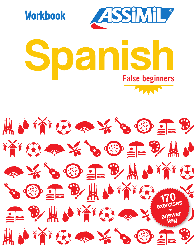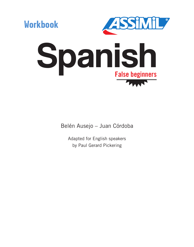

Belén Ausejo – Juan Córdoba

Adapted for English speakers by Paul Gerard Pickering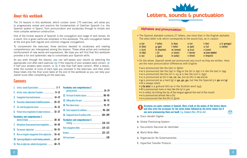The 16 lessons in this workbook, which contain some 170 exercises, will allow you to progressively review and practice the fundamentals of Castilian Spanish (i.e. the Spanish spoken in Spain), from pronunciation and vocabulary through to simple and more complex sentence construction.

One of the trickier aspects of Spanish is the conjugation and usage of verb tenses. As a result, this is given particular emphasis in this workbook. The verb conjugation tables at the end give both regular and common irregular conjugations.

To complement the exercises, three sections devoted to vocabulary and reading comprehension are interspersed among the lessons. These allow active and contextual reinforcement of new words and expressions. We hope you will find that this workbook provides a fun and systematic way to consolidate your Spanish skills.

As you work through the lessons, you can self-assess your results by selecting the appropriate icon after each exercise ( $\cup$  if the majority of your answers were correct,  $\cup$ if half your answers were correct, or  $\therefore$  if less than half were correct). After a lesson, enter the number of icons of each type you received in the exercises, and then enter these totals into the final score table at the end of the workbook so you can tally your overall score after completing all the exercises.

# **Contents**

|    |                                                                                       | <b>Vocabulary and comprehension 2:</b>         |
|----|---------------------------------------------------------------------------------------|------------------------------------------------|
|    | 2. Articles, nouns, adjectives & numbers  8-13                                        | getting around  74-79                          |
|    | <b>3.</b> Conjugation & personal pronouns  14-19                                      | 12. The future & relative clauses  80-85       |
|    | $20 - 25$<br>4. Possessives, demonstratives & indefinite pronouns                     |                                                |
| 5. | Ser, estar & progressive tenses  26–31                                                |                                                |
|    | $32 - 37$<br><b>6.</b> Present tense irregularities & simple sentences.               | 15. Tense sequence & conditions 98-103         |
|    | <b>Vocabulary and comprehension 1:</b>                                                | 16. Compound tenses & auxiliary verbs  104-109 |
|    | identity & family  38-43<br>7. Verb phrases & more present tense irregularities 44-49 | <b>Vocabulary and comprehension 3:</b>         |
|    | 8. The present subjunctive  50-55                                                     | Verb conjugation tables 114-121                |
|    | 9. More on irregular conjugations & the subjunctive 56-61                             |                                                |
|    | 10. Expressing obligation or need & making commands  62-67                            |                                                |
|    | 11. More on adjectives, adverbs & prepositions  68-73                                 |                                                |



# Alphabet and pronunciation

• The Spanish alphabet contains 27 letters, one more than in the English alphabet. The extra letter is **ñ**, which corresponds to the sound [ny], as in *canyon*.

| a(a)     | f (efe)   | $k$ (ka)  | $o$ (o)  | $t$ (te)      | y (i griega) |
|----------|-----------|-----------|----------|---------------|--------------|
| $b$ (be) | g(ge)     | $l$ (ele) | $p$ (pe) | u(u)          | $z$ (zeta)   |
| $c$ (ce) | h (hache) | m (eme)   | $q$ (cu) | $v$ (uve)     |              |
| $d$ (de) | i (i)     | $n$ (ene) | r (erre) | w (uve doble) |              |
| e(e)     | j (jota)  | ñ (eñe)   | s (ese)  | x (equis)     |              |

- On the whole, Spanish words are pronounced very much as they are written. Here are the main pronunciation differences with English:
- **a** is pronounced like the [ah] in *father*
- **e** is pronounced like the [ay] in *they* or the [e] in *bet;* **i** is like the [ee] in *bee*
- **o** is pronounced like the [o] in *no*; **u** is like the [oo] in *food*
- **c** is pronounced as [k] in **ca**, **co**, **cu**, but as [th] in **ce** and **ci**
- **g** is pronounced as a hard [g] in **ga, go, gu,** but like the Spanish **j** in **ge** and **gi**
- **h** is always silent
- **j (la jota)** is a guttural [kh] as in the Scottish word *loch*
- **ll** is pronounced more or less like the [y] in *yes*
- **r** is rolled, by trilling the tip of the tongue against the roof of the mouth
- **v** is pronounced almost like a [b]
- **z** is pronounced like the [th] in *think*

### 1 **Acronyms are quite common in Spanish. Have a look at the names of the letters above and then write the acronyms for the terms below followed by the letter names (as if you were pronouncing them out loud). E.g. Compact Disc: CD (ce de)**

| <b>Contract Contract</b> |  |
|--------------------------|--|
|                          |  |
|                          |  |
|                          |  |
|                          |  |
|                          |  |
|                          |  |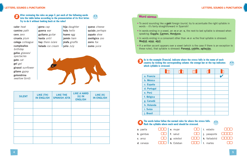### 2 **After reviewing the rules on page 3, put each of the following words into the table below according to the pronunciation of its first letter. Try to do it without looking back at the rules!**

**calor** *heat* **camino** *path* **cero** *zero* **ciruela** *plum* **colega** *colleague* **cumpleaños** *birthday* **gafas** *glasses/ spectacles* **gato** *cat* **gel** *gel* **girasol** *sunflower* **gitano** *gypsy* **golondrina** *swallow* (bird)

**gorra** *cap* **guerra** *war* **guitarra** *guitar* **hasta** *until* **hay** *there is/are* **helado** *ice cream* **hija** *daughter* **hola** *hello* **huevo** *egg* **jamón** *ham* **jirafa** *giraffe* **julio** *July*

**queso** *cheese* **quizás** *perhaps* **zapato** *shoe* **zoológico** *zoo* **zorro** *fox* **zumo** *juice*

| <b>SILENT</b> | LIKE [TH]<br><b>IN ENGLISH</b> | <b>LIKE THE</b><br><b>SPANISH JOTA</b> | <b>LIKE A HARD</b><br>$[G]$ IN<br><b>ENGLISH</b> | LIKE [K]<br><b>IN ENGLISH</b> |
|---------------|--------------------------------|----------------------------------------|--------------------------------------------------|-------------------------------|
|               |                                |                                        |                                                  |                               |
|               |                                |                                        |                                                  |                               |
|               |                                |                                        |                                                  |                               |
|               |                                |                                        |                                                  |                               |
|               |                                |                                        |                                                  |                               |
|               |                                |                                        |                                                  |                               |

# Word stress

- To avoid sounding like a **guiri** *foreign tourist*, try to accentuate the right syllable in words – it's fairly straightforward in Spanish!
- In words ending in a vowel, an **-n** or an **-s**, the next-to-last syllable is stressed when speaking: **españa**, **Carmen, honduras**.
- In words ending in a consonant other than **-n** or **-s** the final syllable is stressed: **Madrid**, **amor**, **abril**.
- If a written accent appears over a vowel (which is the case if there is an exception to these rules), that syllable is stressed: **panamá, crédito, agitación.**

3 **As in the example (Francia), indicate where the stress falls in the name of each country by ticking the corresponding column: the orange bar at the top indicates which syllable is stressed.** 

| a. Francia  |  |  |  |
|-------------|--|--|--|
| b. México   |  |  |  |
| c. España   |  |  |  |
| d. Portugal |  |  |  |
| e. Perú     |  |  |  |
| f. Bélgica  |  |  |  |
| g. Canadá   |  |  |  |
| h. Holanda  |  |  |  |
| i. Suiza    |  |  |  |
| j. Brasil   |  |  |  |

### 4 **The words below follow the normal rules for where the stress falls.**   $\bullet$ **Mark the syllable where each word should be stressed.**

| a. paella        | $\Box$ $\Box$   e. mujer        | $\overline{O}$   i. estadio            |  |
|------------------|---------------------------------|----------------------------------------|--|
| <b>b.</b> gambas | $\overline{CD}$   f. salud      | OO   j. pasaporte UUU                  |  |
| c. arroz         |                                 | <b>OOO</b>   k. Valladolid <b>OOOC</b> |  |
| d. cerveza       | <b>OOO</b>   <b>h</b> . Esteban | $\Box$ $\Box$   I. martes              |  |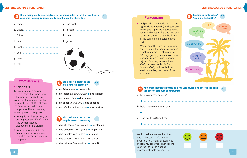### 5 **The following words are exceptions to the normal rules for word stress. Rewrite each word, placing an accent on the vowel where the stress falls.**

# Word stress 2

• **a spelling tip**

Typically, a word's spoken stress remains the same even if the word is changed – for example, if a syllable is added to form the plural. But although the spoken stress does not change, a written accent may either appear or disappear:

- **un inglés** *an Englishman*, but **dos ingleses** *two Englishmen* (the written accent disappears in the plural)
- **un joven** *a young man*, but **dos jóvenes** *two young men* (a written accent appears in the plural)

# 6 **Add a written accent to the plural forms if necessary.**

- **a**. **un árbol** *a tree* **dos arboles**
- **b**. **un inglés** *an Englishman* → **dos ingleses**
- **c**. **un balón** *a ball* **dos balones**
- **d**. **un andén** *a platform* **dos andenes**
- **e**. **un móvil** *a mobile phone* **dos moviles**
- 7 **Add a written accent to the singular forms if necessary.**
- **a**. **dos alemanes** *two Germans* **un aleman**
- **b**. dos portátiles *two laptops* → un portatil
- **c**. **dos papeles** *two papers* **un papel**
- **d**. **dos daneses** *two Danes* **un danes**
- **e**. **dos mítines** *two meetings* → **un mitin**

# Punctuation

- In Spanish, exclamation marks (**los signos de admiración**) and question marks (**los signos de interrogación**) come at the beginning and end of a sentence: the one at the beginning of the sentence is upside down: ¡…! ¿…?
- When using the Internet, you may need to know the names of various punctuation marks: **el punto** *dot*, *full stop*, *period*; **dos puntos** *colon*; **el guión** *hyphen*, *dash*; **el guión bajo** *underscore*; **la barra** *forward slash*; **la barra doble** *double forward slash*, and last but not least, **la arroba**, the name of the @ symbol.



### 9 **Write these Internet addresses as if you were saying them out loud, including the name of each type of punctuation.**

- **a**. http://www.assimil.com/
- **b.** belen ausejo@hotmail.com
	- ...................................................................................................................

...................................................................................................................

...................................................................................................................

**c**. juan-cordoba@gmail.com

Well done! You've reached the end of Lesson 1. It's time to count up how many of each type of icon you received. Then record your results in the final selfassessment table on page 128. **<sup>7</sup>**

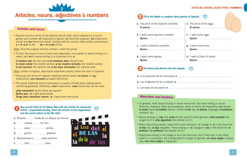

# Articles and nouns

• Spanish has four forms of the definite article (*the*), which depend on a noun's gender and number: **el** (masculine singular), **la** (feminine singular), **los** (masculine plural) and **las** (feminine plural). Certain articles contract after certain prepositions:  $a + e \rightarrow a$  *to the* **de + el**  $\rightarrow$  **del** *of the* 

Note: Only the singular articles contract, never the plural.

• To form the plural of nouns (and most adjectives), **-s** is added to words ending in a vowel, and **-es** to words ending in a consonant or a **-y**:

**el hombre alto** *the tall man* **los hombres altos** *the tall men* **la mujer actual** *the modern woman* **las mujeres actuales** *the modern women* **la ley nacional** *the national law* **las leyes nacionales** *the national laws*

Note: Unlike in English, descriptive adjectives usually follow the noun in Spanish.

- There are two forms of singular indefinite article (*a/an*): **un huevo** *an egg* (masculine), **una manzana** *an apple* (feminine).
- The plural indefinite article (*some/any*) is usually omitted when talking about something generally. Otherwise, **unos** (masculine), **unas** (feminine) can be used:

**¿hay manzanas?** *Are there any apples?* **Quiero pan.** *I want some bread.* **tengo unos calcetines nuevos.** *I have some new socks.*

# **Here are the titles of six famous films with the articles (or contracted article + preposition) missing. Insert the articles on the clapperboard into the correct places in the film titles.**

- **a**. Mujeres …...… borde de un ataque de nervios
- **b**. …..… cabaña …..… tío Tom
- **c**. …..… señor …..… …..… anillos

**d**. …..… guerra …..… …..… galaxias



### ARTICLES, NOUNS, ADJECTIVES & NUMBERS

**e**. The price of the eggs.

**f**. I want some eggs.

**g**. I want some wine.

**h**. I want a [loaf of] bread.

**el precio**..........................................

**Quiero** .............................................

**Quiero** .............................................

**Quiero** .............................................

# 2 **Fill in the blanks to complete these phrases in Spanish.**

- **a**. The price of the Spanish omelette. **el precio**..........................................
- **b.** I want some Spanish omelette. **Quiero** .............................................
- **c**. I want a Spanish omelette. **Quiero** .............................................
- **d**. I want some apples. **Quiero** .............................................

# 3 **Put these noun phrases into the singular.**

**a**. Los productos de los mercados ......................................................................... **b**. Las imágenes de las ciudades .......................................................................... **c**. Las leyes de los países .....................................................................................

# **Masculine and feminine**

- In general, most nouns ending in **-o** are masculine, and most ending in **-a** are feminine. However, there are exceptions, some of which are frequently used words: **la mano** *hand*; **la modelo** *fashion model*; **el día** *day*; **el idioma** *language*; **el problema** *problem*, etc.
- Nouns ending in **-ista** and **-ante** are the same for both genders: **el/la cantante** *the singer* (m./f.); **el/la deportista** *the athlete* (m./f.).
- When describing people, masculine nouns ending in **-o** change to **-a** in the feminine: **el hijo** *son*, **la hija** *daughter*. Those ending in **-or** change to **-ora** in the feminine: **el profesor / la profesora** *the teacher* (m./f.)*.*
- Adjectives ending in **-o** change to **-a** in the feminine, but if they end in any other vowel or a consonant, the ending doesn't change for gender: **un chico alegre** *a happy boy*; **una chica alegre** *a happy girl*.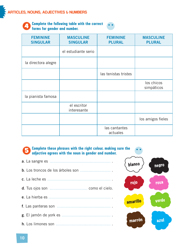

4 **Complete the following table with the correct forms for gender and number.** 

| <b>FEMININE</b><br><b>SINGULAR</b> | <b>MASCULINE</b><br><b>SINGULAR</b> | <b>FEMININE</b><br><b>PLURAL</b> | <b>MASCULINE</b><br><b>PLURAL</b> |
|------------------------------------|-------------------------------------|----------------------------------|-----------------------------------|
|                                    | el estudiante serio                 |                                  |                                   |
| la directora alegre                |                                     |                                  |                                   |
|                                    |                                     | las tenistas tristes             |                                   |
|                                    |                                     |                                  | los chicos<br>simpáticos          |
| la pianista famosa                 |                                     |                                  |                                   |
|                                    | el escritor<br>interesante          |                                  |                                   |
|                                    |                                     |                                  | los amigos fieles                 |
|                                    |                                     | las cantantes<br>actuales        |                                   |